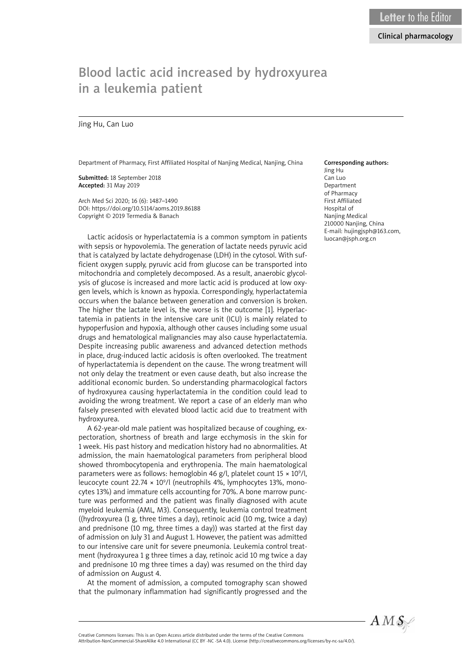# Blood lactic acid increased by hydroxyurea in a leukemia patient

### Jing Hu, Can Luo

Department of Pharmacy, First Affiliated Hospital of Nanjing Medical, Nanjing, China

Submitted: 18 September 2018 Accepted: 31 May 2019

Arch Med Sci 2020; 16 (6): 1487–1490 DOI: https://doi.org/10.5114/aoms.2019.86188 Copyright © 2019 Termedia & Banach

Lactic acidosis or hyperlactatemia is a common symptom in patients with sepsis or hypovolemia. The generation of lactate needs pyruvic acid that is catalyzed by lactate dehydrogenase (LDH) in the cytosol. With sufficient oxygen supply, pyruvic acid from glucose can be transported into mitochondria and completely decomposed. As a result, anaerobic glycolysis of glucose is increased and more lactic acid is produced at low oxygen levels, which is known as hypoxia. Correspondingly, hyperlactatemia occurs when the balance between generation and conversion is broken. The higher the lactate level is, the worse is the outcome [1]. Hyperlactatemia in patients in the intensive care unit (ICU) is mainly related to hypoperfusion and hypoxia, although other causes including some usual drugs and hematological malignancies may also cause hyperlactatemia. Despite increasing public awareness and advanced detection methods in place, drug-induced lactic acidosis is often overlooked. The treatment of hyperlactatemia is dependent on the cause. The wrong treatment will not only delay the treatment or even cause death, but also increase the additional economic burden. So understanding pharmacological factors of hydroxyurea causing hyperlactatemia in the condition could lead to avoiding the wrong treatment. We report a case of an elderly man who falsely presented with elevated blood lactic acid due to treatment with hydroxyurea.

A 62-year-old male patient was hospitalized because of coughing, expectoration, shortness of breath and large ecchymosis in the skin for 1 week. His past history and medication history had no abnormalities. At admission, the main haematological parameters from peripheral blood showed thrombocytopenia and erythropenia. The main haematological parameters were as follows: hemoglobin 46 g/l, platelet count  $15 \times 10^9$ /l, leucocyte count 22.74 × 10<sup>9</sup>/l (neutrophils 4%, lymphocytes 13%, monocytes 13%) and immature cells accounting for 70%. A bone marrow puncture was performed and the patient was finally diagnosed with acute myeloid leukemia (AML, M3). Consequently, leukemia control treatment ((hydroxyurea (1 g, three times a day), retinoic acid (10 mg, twice a day) and prednisone (10 mg, three times a day)) was started at the first day of admission on July 31 and August 1. However, the patient was admitted to our intensive care unit for severe pneumonia. Leukemia control treatment (hydroxyurea 1 g three times a day, retinoic acid 10 mg twice a day and prednisone 10 mg three times a day) was resumed on the third day of admission on August 4.

At the moment of admission, a computed tomography scan showed that the pulmonary inflammation had significantly progressed and the

#### Corresponding authors: Jing Hu Can Luo

Department of Pharmacy First Affiliated Hospital of Nanjing Medical 210000 Nanjing, China E-mail: hujingjsph@163.com, luocan@jsph.org.cn

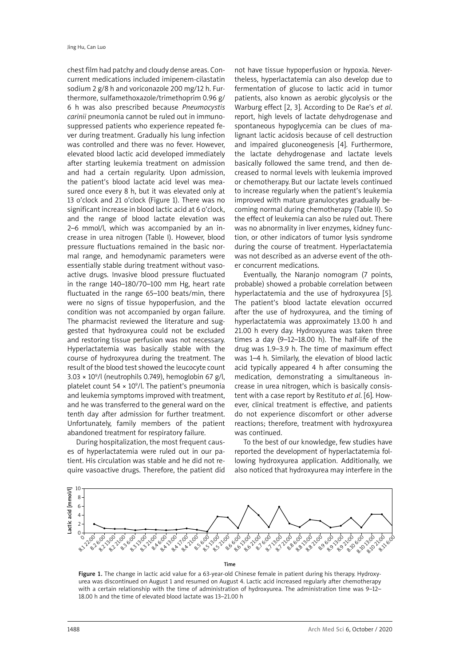chest film had patchy and cloudy dense areas. Concurrent medications included imipenem-cilastatin sodium 2 g/8 h and voriconazole 200 mg/12 h. Furthermore, sulfamethoxazole/trimethoprim 0.96 g/ 6 h was also prescribed because *Pneumocystis carinii* pneumonia cannot be ruled out in immunosuppressed patients who experience repeated fever during treatment. Gradually his lung infection was controlled and there was no fever. However, elevated blood lactic acid developed immediately after starting leukemia treatment on admission and had a certain regularity. Upon admission, the patient's blood lactate acid level was measured once every 8 h, but it was elevated only at 13 o'clock and 21 o'clock (Figure 1). There was no significant increase in blood lactic acid at 6 o'clock, and the range of blood lactate elevation was 2–6 mmol/l, which was accompanied by an increase in urea nitrogen (Table I). However, blood pressure fluctuations remained in the basic normal range, and hemodynamic parameters were essentially stable during treatment without vasoactive drugs. Invasive blood pressure fluctuated in the range 140–180/70–100 mm Hg, heart rate fluctuated in the range 65–100 beats/min, there were no signs of tissue hypoperfusion, and the condition was not accompanied by organ failure. The pharmacist reviewed the literature and suggested that hydroxyurea could not be excluded and restoring tissue perfusion was not necessary. Hyperlactatemia was basically stable with the course of hydroxyurea during the treatment. The result of the blood test showed the leucocyte count  $3.03 \times 10^9$ /l (neutrophils 0.749), hemoglobin 67 g/l, platelet count  $54 \times 10^9$ /l. The patient's pneumonia and leukemia symptoms improved with treatment, and he was transferred to the general ward on the tenth day after admission for further treatment. Unfortunately, family members of the patient abandoned treatment for respiratory failure.

During hospitalization, the most frequent causes of hyperlactatemia were ruled out in our patient. His circulation was stable and he did not require vasoactive drugs. Therefore, the patient did

not have tissue hypoperfusion or hypoxia. Nevertheless, hyperlactatemia can also develop due to fermentation of glucose to lactic acid in tumor patients, also known as aerobic glycolysis or the Warburg effect [2, 3]. According to De Rae's *et al*. report, high levels of lactate dehydrogenase and spontaneous hypoglycemia can be clues of malignant lactic acidosis because of cell destruction and impaired gluconeogenesis [4]. Furthermore, the lactate dehydrogenase and lactate levels basically followed the same trend, and then decreased to normal levels with leukemia improved or chemotherapy. But our lactate levels continued to increase regularly when the patient's leukemia improved with mature granulocytes gradually becoming normal during chemotherapy (Table II). So the effect of leukemia can also be ruled out. There was no abnormality in liver enzymes, kidney function, or other indicators of tumor lysis syndrome during the course of treatment. Hyperlactatemia was not described as an adverse event of the other concurrent medications.

Eventually, the Naranjo nomogram (7 points, probable) showed a probable correlation between hyperlactatemia and the use of hydroxyurea [5]. The patient's blood lactate elevation occurred after the use of hydroxyurea, and the timing of hyperlactatemia was approximately 13.00 h and 21.00 h every day. Hydroxyurea was taken three times a day (9–12–18.00 h). The half-life of the drug was 1.9–3.9 h. The time of maximum effect was 1–4 h. Similarly, the elevation of blood lactic acid typically appeared 4 h after consuming the medication, demonstrating a simultaneous increase in urea nitrogen, which is basically consistent with a case report by Restituto *et al*. [6]. However, clinical treatment is effective, and patients do not experience discomfort or other adverse reactions; therefore, treatment with hydroxyurea was continued.

To the best of our knowledge, few studies have reported the development of hyperlactatemia following hydroxyurea application. Additionally, we also noticed that hydroxyurea may interfere in the



Figure 1. The change in lactic acid value for a 63-year-old Chinese female in patient during his therapy. Hydroxyurea was discontinued on August 1 and resumed on August 4. Lactic acid increased regularly after chemotherapy with a certain relationship with the time of administration of hydroxyurea. The administration time was 9-12-18.00 h and the time of elevated blood lactate was 13–21.00 h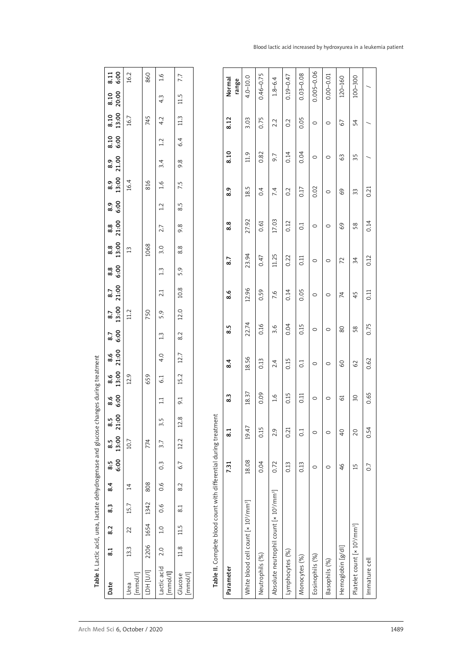| Date                                                              | ದ    | 8.2                | 8.3           | 8.4           | 8:5              | 6:00 13:00 21:00<br>8.5 8.5 |     | % အိ<br>အိ      | $8.6$<br>13:00 | 8.6<br>21:00 | 8.7<br>6.00 | $\frac{8.7}{13.00}$ | $8.7$<br>$21:00$ | ∞<br>အိမ်            | $\begin{matrix} 8.8 \\ 13:00 \end{matrix}$ | 8.8<br>21:00  | စ်<br>စီ      | 13:00 21.00<br>8.9   | $8.10$<br>$6.00$ 1<br>8.9 |                 | 8.10 8.10<br>13:00 20:00 | 8.11<br>6:00         |  |
|-------------------------------------------------------------------|------|--------------------|---------------|---------------|------------------|-----------------------------|-----|-----------------|----------------|--------------|-------------|---------------------|------------------|----------------------|--------------------------------------------|---------------|---------------|----------------------|---------------------------|-----------------|--------------------------|----------------------|--|
| [mmol/l]<br>Urea                                                  | 13.3 | 22                 | 15.7          | $\vec{a}$     |                  | 10.7                        |     |                 | 12.9           |              |             | 11.2                |                  |                      | $\Xi$                                      |               |               | 16.4                 |                           | 16.7            |                          | 16.2                 |  |
| LDH [U/I]                                                         |      | 2206 1654 1342 808 |               |               |                  | 774                         |     |                 | 659            |              |             | 750                 |                  |                      | 1068                                       |               |               | 816                  |                           | 745             |                          | 860                  |  |
| actic acid 2.0<br>[mmol/l]                                        |      |                    | $1.0$ 0.6 0.6 |               | $0.\overline{3}$ | 3.7                         | 3.5 | $\Xi$           | 61             | 4.0          | 1.3         | 5.9                 | 2.1              | $\frac{1}{2}$        | 3.0                                        | 2.7           | 1.2           | 3.4<br>$\frac{6}{1}$ | 1.2                       | 4.2             | 4.3                      | $-1.6$               |  |
| $[\text{mmol/l}]$<br>Glucose                                      |      | $11.8$ 11.5 8.1    |               | $\frac{2}{8}$ | 6.7              | $12.2$ $12.8$               |     | $\overline{56}$ | 15.2           | 12.7         | 8.2         | 12.0                | 10.8             | 5.9                  | 8.8                                        | 9.8           | 8.5           | 9.8<br>7.5           | 6.4                       | 11.3            | 11.5                     | 7.7                  |  |
| Table II. Complete blood count with differential during treatment |      |                    |               |               |                  |                             |     |                 |                |              |             |                     |                  |                      |                                            |               |               |                      |                           |                 |                          |                      |  |
| Parameter                                                         |      |                    |               |               | 7.31             | ್ದ                          |     | 8.3             |                | 8.4          | 8.5         |                     | 8.6              | 8.7                  |                                            | 8.8           | 8.9           |                      | 8.10                      | 8.12            |                          | Normal<br>range      |  |
|                                                                   |      | $\frac{1}{2}$      | ř             |               | $\tilde{\zeta}$  | !<br>;                      |     | $\frac{1}{2}$   | i<br>S         |              | i<br>C      |                     | $\frac{1}{2}$    | $\ddot{\phantom{0}}$ |                                            | $\frac{1}{2}$ | $\frac{1}{2}$ |                      | $\ddot{\phantom{0}}$      | $\tilde{\zeta}$ |                          | $\ddot{\phantom{0}}$ |  |

| $rac{6}{8}$<br>$8.5$<br>1.00<br>$\overline{z}$<br>8.5<br>13:00<br>6:00<br>8:5<br>8.4<br>8.3<br>8.2<br>8.1<br>Date | 10.7<br>$\overline{4}$<br>15.7<br>22<br>13.3<br>[mmol/l]<br>Urea | 774<br>808<br>1342<br>1654<br>2206<br>LDH [U/l] | $\Xi$<br>3.5<br>$\overline{3.7}$<br>$0.\overline{3}$<br>0.6<br>0.6<br>1.0<br>2.0<br>Lactic acid<br>[mmol/l] | 9.1<br>12.8<br>12.2<br>6.7<br>8.2<br>8.1<br>11.5<br>11.8<br>$[mmol/l] % \begin{center} \includegraphics[width=\textwidth]{figures/cdf} \end{center} % \vspace*{-1em} \caption{The number of parameters of the parameter $\{1,2,3,4,5,5,6\}$, and the number of parameters $\{1,3,4,5,6\}$, respectively.} \label{fig:cdf}$<br>Glucose | Table II. Complete blood count with differential during treatment | 8.3<br>$\overline{8.1}$<br>7.31<br>Parameter | 18.37<br>19.47<br>18.08<br>White blood cell count [× 10 <sup>3</sup> /mm <sup>3</sup> ] | 0.09<br>0.15<br>0.04<br>Neutrophils (%) | $\frac{6}{1}$<br>2.9<br>0.72<br>Absolute neutrophil count [x 10 <sup>3</sup> /mm <sup>3</sup> ] | 0.15<br>0.21<br>0.13<br>Lymphocytes (%) | 0.11<br>$\overline{0}$<br>0.13<br>Monocytes (%) | $\circ$<br>$\circ$<br>$\circ$<br>Eosinophils (%) | O<br>$\circ$<br>$\circ$<br>Basophils (%) | 61<br>$\overline{4}$<br>46<br>Hemoglobin [g/dl] | 50<br>20<br>15<br>Platelet count [× 10 <sup>3</sup> /mm <sup>3</sup> ] | 0.65<br>0.54<br>$\overline{0}$ .<br>Immature cell |
|-------------------------------------------------------------------------------------------------------------------|------------------------------------------------------------------|-------------------------------------------------|-------------------------------------------------------------------------------------------------------------|---------------------------------------------------------------------------------------------------------------------------------------------------------------------------------------------------------------------------------------------------------------------------------------------------------------------------------------|-------------------------------------------------------------------|----------------------------------------------|-----------------------------------------------------------------------------------------|-----------------------------------------|-------------------------------------------------------------------------------------------------|-----------------------------------------|-------------------------------------------------|--------------------------------------------------|------------------------------------------|-------------------------------------------------|------------------------------------------------------------------------|---------------------------------------------------|
| 8.6<br>21:00<br>$8.6$<br>13:00                                                                                    | 12.9                                                             | 659                                             | 4.0<br>$\overline{61}$                                                                                      | 12.7<br>15.2                                                                                                                                                                                                                                                                                                                          |                                                                   | 8.4                                          | 18.56                                                                                   | 0.13                                    | 2.4                                                                                             | 0.15                                    | $\overline{0}$                                  | $\circ$                                          | $\circ$                                  | $\overline{6}$                                  | 62                                                                     | 0.62                                              |
| 13:00<br>8.7<br>6:00<br>8.7                                                                                       | 11.2                                                             | 750                                             | 5.9<br>$1.3$                                                                                                | 12.0<br>8.2                                                                                                                                                                                                                                                                                                                           |                                                                   | 8.5                                          | 22.74                                                                                   | 0.16                                    | 3.6                                                                                             | 0.04                                    | 0.15                                            | $\circ$                                          | $\circ$                                  | 80                                              | 58                                                                     | 0.75                                              |
| 6:00<br>8.8<br>21:00<br>8.7                                                                                       |                                                                  |                                                 | $\frac{2}{3}$<br>21                                                                                         | 5.9<br>10.8                                                                                                                                                                                                                                                                                                                           |                                                                   | 8.6                                          | 12.96                                                                                   | 0.59                                    | 7.6                                                                                             | 0.14                                    | 0.05                                            | $\circ$                                          | $\circ$                                  | $\overline{\mathcal{L}}$                        | 45                                                                     | 0.11                                              |
| 21:00<br>8.8<br>8.8<br>13:00                                                                                      | $\tilde{1}$                                                      | 1068                                            | 2.7<br>3.0                                                                                                  | 9.8<br>8.8                                                                                                                                                                                                                                                                                                                            |                                                                   | 8.8<br>8.7                                   | 27.92<br>23.94                                                                          | 0.61<br>0.47                            | 17.03<br>11.25                                                                                  | 0.12<br>0.22                            | $\overline{0}$<br>0.11                          | $\circ$<br>$\circ$                               | $\circ$<br>0                             | 69<br>$\overline{z}$                            | 58<br>34                                                               | 0.14<br>0.12                                      |
| 8.9<br>13:00<br>6:00<br>8.9                                                                                       | 16.4                                                             | 816                                             | 1.6<br>$\overline{1.2}$                                                                                     | 7.5<br>rj.<br>∞                                                                                                                                                                                                                                                                                                                       |                                                                   | 8.9                                          | 18.5                                                                                    | 0.4                                     | 7.4                                                                                             | 0.2                                     | 0.17                                            | 0.02                                             | $\circ$                                  | 69                                              | 33                                                                     | 0.21                                              |
| 6:00<br>8.10<br>21.00<br>$8.9$                                                                                    |                                                                  |                                                 | 1.2<br>3.4                                                                                                  | 6.4<br>9.8                                                                                                                                                                                                                                                                                                                            |                                                                   | 8.10                                         | 11.9                                                                                    | 0.82                                    | 9.7                                                                                             | 0.14                                    | 0.04                                            | $\circ$                                          | $\circ$                                  | $\Im$                                           | 35                                                                     | $\overline{\phantom{0}}$                          |
| 13:00<br>8.10                                                                                                     | 16.7                                                             | 745                                             | 4.2                                                                                                         | 11.3                                                                                                                                                                                                                                                                                                                                  |                                                                   | 8.12                                         | 3.03                                                                                    | 0.75                                    | 2.2                                                                                             | 0.2                                     | 0.05                                            | $\circ$                                          | $\circ$                                  | 67                                              | 54                                                                     | $\overline{\phantom{0}}$                          |
| 20:00<br>8.10                                                                                                     |                                                                  |                                                 | $4.\overline{3}$                                                                                            | 11.5                                                                                                                                                                                                                                                                                                                                  |                                                                   | Normal<br>range                              | $4.0 - 10.0$                                                                            | $0.46 - 0.75$                           | $1.8 - 6.4$                                                                                     | $0.19 - 0.47$                           | $0.03 - 0.08$                                   | $0.005 - 0.06$                                   | $0.00 - 0.01$                            | 120-160                                         | $100 - 300$                                                            | $\overline{\phantom{0}}$                          |